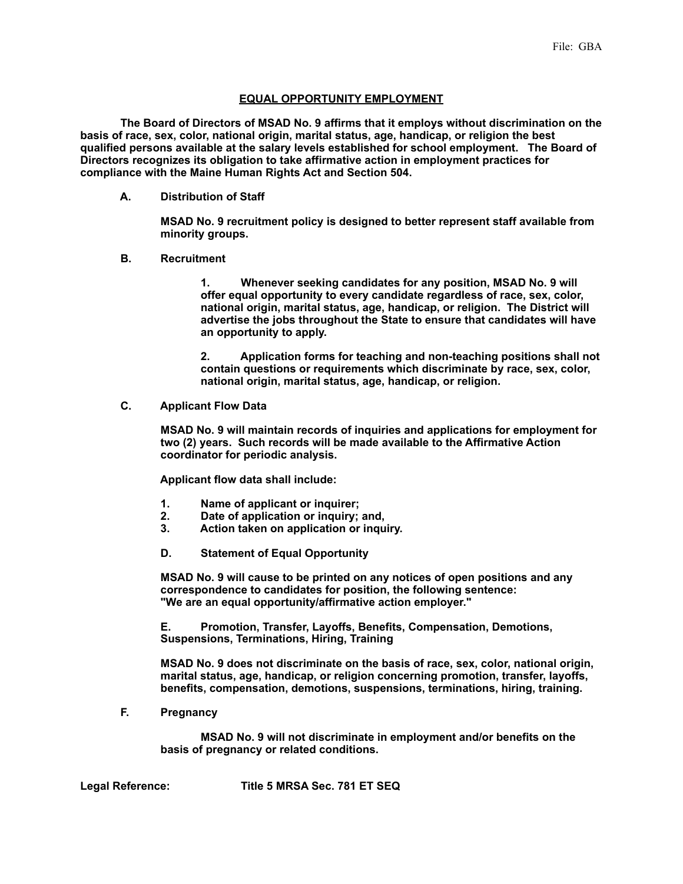## **EQUAL OPPORTUNITY EMPLOYMENT**

 **The Board of Directors of MSAD No. 9 affirms that it employs without discrimination on the basis of race, sex, color, national origin, marital status, age, handicap, or religion the best qualified persons available at the salary levels established for school employment. The Board of Directors recognizes its obligation to take affirmative action in employment practices for compliance with the Maine Human Rights Act and Section 504.**

 **A. Distribution of Staff**

**MSAD No. 9 recruitment policy is designed to better represent staff available from minority groups.**

 **B. Recruitment**

 **1. Whenever seeking candidates for any position, MSAD No. 9 will offer equal opportunity to every candidate regardless of race, sex, color, national origin, marital status, age, handicap, or religion. The District will advertise the jobs throughout the State to ensure that candidates will have an opportunity to apply.**

 **2. Application forms for teaching and non-teaching positions shall not contain questions or requirements which discriminate by race, sex, color, national origin, marital status, age, handicap, or religion.**

 **C. Applicant Flow Data**

**MSAD No. 9 will maintain records of inquiries and applications for employment for two (2) years. Such records will be made available to the Affirmative Action coordinator for periodic analysis.**

 **Applicant flow data shall include:**

- **1. Name of applicant or inquirer;**
- **2. Date of application or inquiry; and,**
- **3. Action taken on application or inquiry.**
- **D. Statement of Equal Opportunity**

**MSAD No. 9 will cause to be printed on any notices of open positions and any correspondence to candidates for position, the following sentence: "We are an equal opportunity/affirmative action employer."**

 **E. Promotion, Transfer, Layoffs, Benefits, Compensation, Demotions, Suspensions, Terminations, Hiring, Training**

**MSAD No. 9 does not discriminate on the basis of race, sex, color, national origin, marital status, age, handicap, or religion concerning promotion, transfer, layoffs, benefits, compensation, demotions, suspensions, terminations, hiring, training.**

 **F. Pregnancy**

 **MSAD No. 9 will not discriminate in employment and/or benefits on the basis of pregnancy or related conditions.**

**Legal Reference: Title 5 MRSA Sec. 781 ET SEQ**